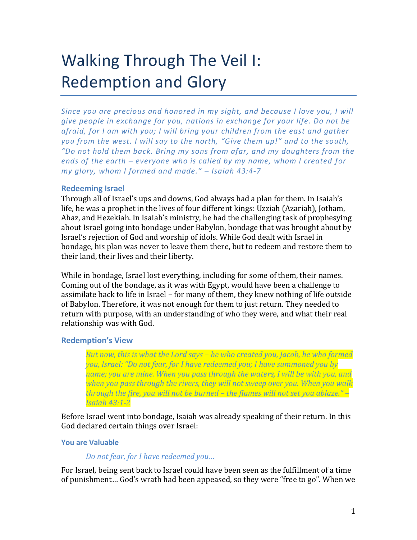# Walking Through The Veil I: Redemption and Glory

*Since you are precious and honored in my sight, and because I love you, I will give people in exchange for you, nations in exchange for your life. Do not be afraid, for I am with you; I will bring your children from the east and gather you from the west. I will say to the north, "Give them up!" and to the south, "Do not hold them back. Bring my sons from afar, and my daughters from the ends of the earth – everyone who is called by my name, whom I created for my glory, whom I formed and made." – Isaiah 43:4-7*

## **Redeeming Israel**

Through all of Israel's ups and downs, God always had a plan for them. In Isaiah's life, he was a prophet in the lives of four different kings: Uzziah (Azariah), Jotham, Ahaz, and Hezekiah. In Isaiah's ministry, he had the challenging task of prophesying about Israel going into bondage under Babylon, bondage that was brought about by Israel's rejection of God and worship of idols. While God dealt with Israel in bondage, his plan was never to leave them there, but to redeem and restore them to their land, their lives and their liberty.

While in bondage, Israel lost everything, including for some of them, their names. Coming out of the bondage, as it was with Egypt, would have been a challenge to assimilate back to life in Israel – for many of them, they knew nothing of life outside of Babylon. Therefore, it was not enough for them to just return. They needed to return with purpose, with an understanding of who they were, and what their real relationship was with God.

## **Redemption's View**

*But now, this is what the Lord says – he who created you, Jacob, he who formed you, Israel: "Do not fear, for I have redeemed you; I have summoned you by name; you are mine. When you pass through the waters, I will be with you, and when you pass through the rivers, they will not sweep over you. When you walk through the fire, you will not be burned – the flames will not set you ablaze." – Isaiah 43:1-2*

Before Israel went into bondage, Isaiah was already speaking of their return. In this God declared certain things over Israel:

## **You are Valuable**

## *Do not fear, for I have redeemed you…*

For Israel, being sent back to Israel could have been seen as the fulfillment of a time of punishment… God's wrath had been appeased, so they were "free to go". When we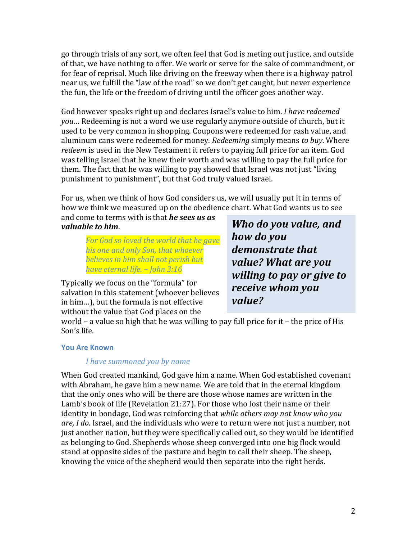go through trials of any sort, we often feel that God is meting out justice, and outside of that, we have nothing to offer. We work or serve for the sake of commandment, or for fear of reprisal. Much like driving on the freeway when there is a highway patrol near us, we fulfill the "law of the road" so we don't get caught, but never experience the fun, the life or the freedom of driving until the officer goes another way.

God however speaks right up and declares Israel's value to him. *I have redeemed you*… Redeeming is not a word we use regularly anymore outside of church, but it used to be very common in shopping. Coupons were redeemed for cash value, and aluminum cans were redeemed for money. *Redeeming* simply means *to buy*. Where *redeem* is used in the New Testament it refers to paying full price for an item. God was telling Israel that he knew their worth and was willing to pay the full price for them. The fact that he was willing to pay showed that Israel was not just "living punishment to punishment", but that God truly valued Israel.

For us, when we think of how God considers us, we will usually put it in terms of how we think we measured up on the obedience chart. What God wants us to see

and come to terms with is that *he sees us as valuable to him*.

> *For God so loved the world that he gave his one and only Son, that whoever believes in him shall not perish but have eternal life. – John 3:16*

Typically we focus on the "formula" for salvation in this statement (whoever believes in him…), but the formula is not effective without the value that God places on the

*Who do you value, and how do you demonstrate that value? What are you willing to pay or give to receive whom you value?*

world – a value so high that he was willing to pay full price for it – the price of His Son's life.

## **You Are Known**

## *I have summoned you by name*

When God created mankind, God gave him a name. When God established covenant with Abraham, he gave him a new name. We are told that in the eternal kingdom that the only ones who will be there are those whose names are written in the Lamb's book of life (Revelation 21:27). For those who lost their name or their identity in bondage, God was reinforcing that *while others may not know who you are, I do*. Israel, and the individuals who were to return were not just a number, not just another nation, but they were specifically called out, so they would be identified as belonging to God. Shepherds whose sheep converged into one big flock would stand at opposite sides of the pasture and begin to call their sheep. The sheep, knowing the voice of the shepherd would then separate into the right herds.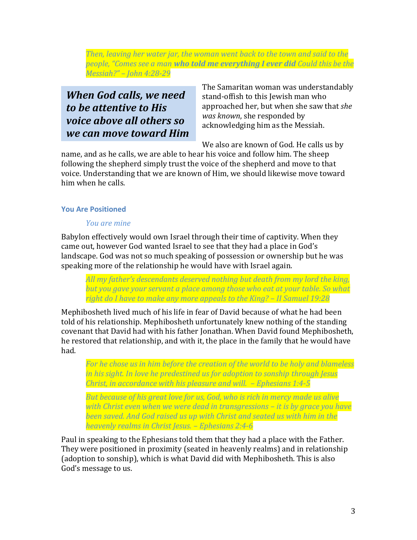*Then, leaving her water jar, the woman went back to the town and said to the people, "Comes see a man who told me everything I ever did Could this be the Messiah?" – John 4:28-29*

# *When God calls, we need to be attentive to His voice above all others so we can move toward Him*

The Samaritan woman was understandably stand-offish to this Jewish man who approached her, but when she saw that *she was known*, she responded by acknowledging him as the Messiah.

We also are known of God. He calls us by

name, and as he calls, we are able to hear his voice and follow him. The sheep following the shepherd simply trust the voice of the shepherd and move to that voice. Understanding that we are known of Him, we should likewise move toward him when he calls.

# **You Are Positioned**

## *You are mine*

Babylon effectively would own Israel through their time of captivity. When they came out, however God wanted Israel to see that they had a place in God's landscape. God was not so much speaking of possession or ownership but he was speaking more of the relationship he would have with Israel again.

*All my father's descendants deserved nothing but death from my lord the king, but you gave your servant a place among those who eat at your table. So what right do I have to make any more appeals to the King? – II Samuel 19:28*

Mephibosheth lived much of his life in fear of David because of what he had been told of his relationship. Mephibosheth unfortunately knew nothing of the standing covenant that David had with his father Jonathan. When David found Mephibosheth, he restored that relationship, and with it, the place in the family that he would have had.

*For he chose us in him before the creation of the world to be holy and blameless in his sight. In love he predestined us for adoption to sonship through Jesus Christ, in accordance with his pleasure and will. – Ephesians 1:4-5*

*But because of his great love for us, God, who is rich in mercy made us alive*  with Christ even when we were dead in transgressions – *it is by grace you have been saved. And God raised us up with Christ and seated us with him in the heavenly realms in Christ Jesus. – Ephesians 2:4-6*

Paul in speaking to the Ephesians told them that they had a place with the Father. They were positioned in proximity (seated in heavenly realms) and in relationship (adoption to sonship), which is what David did with Mephibosheth. This is also God's message to us.